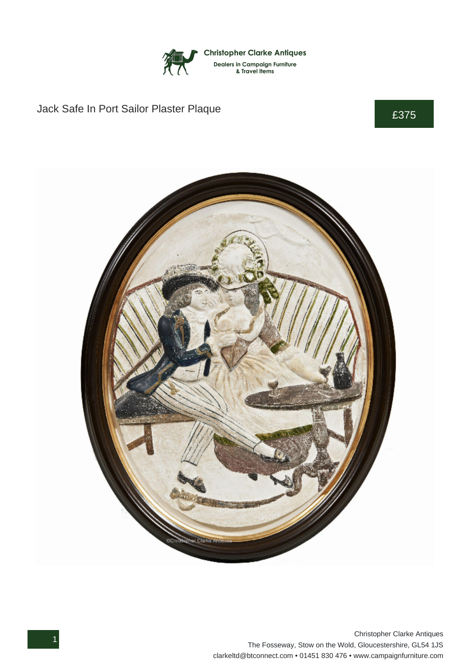

## Jack Safe In Port Sailor Plaster Plaque **E375**